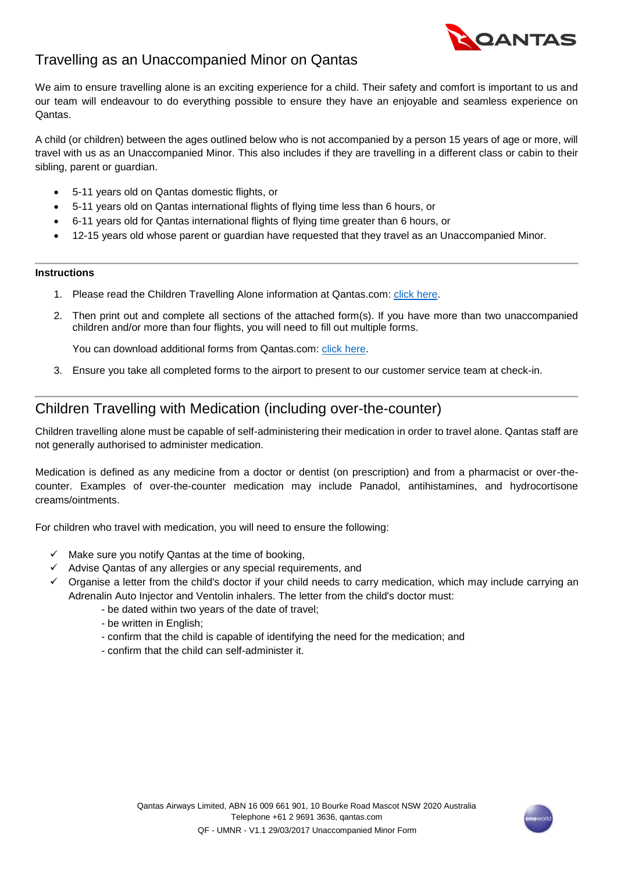

# Travelling as an Unaccompanied Minor on Qantas

We aim to ensure travelling alone is an exciting experience for a child. Their safety and comfort is important to us and our team will endeavour to do everything possible to ensure they have an enjoyable and seamless experience on Qantas.

A child (or children) between the ages outlined below who is not accompanied by a person 15 years of age or more, will travel with us as an Unaccompanied Minor. This also includes if they are travelling in a different class or cabin to their sibling, parent or guardian.

- 5-11 years old on Qantas domestic flights, or
- 5-11 years old on Qantas international flights of flying time less than 6 hours, or
- 6-11 years old for Qantas international flights of flying time greater than 6 hours, or
- 12-15 years old whose parent or guardian have requested that they travel as an Unaccompanied Minor.

#### **Instructions**

- 1. Please read the Children Travelling Alone information at Qantas.com: *click here.*
- 2. Then print out and complete all sections of the attached form(s). If you have more than two unaccompanied children and/or more than four flights, you will need to fill out multiple forms.

You can download additional forms from Qantas.com[: click here.](http://www.qantas.com/travel/airlines/children-travelling-alone/global/en)

3. Ensure you take all completed forms to the airport to present to our customer service team at check-in.

## Children Travelling with Medication (including over-the-counter)

Children travelling alone must be capable of self-administering their medication in order to travel alone. Qantas staff are not generally authorised to administer medication.

Medication is defined as any medicine from a doctor or dentist (on prescription) and from a pharmacist or over-thecounter. Examples of over-the-counter medication may include Panadol, antihistamines, and hydrocortisone creams/ointments.

For children who travel with medication, you will need to ensure the following:

- $\checkmark$  Make sure you notify Qantas at the time of booking,
- $\checkmark$  Advise Qantas of any allergies or any special requirements, and
- $\checkmark$  Organise a letter from the child's doctor if your child needs to carry medication, which may include carrying an Adrenalin Auto Injector and Ventolin inhalers. The letter from the child's doctor must:
	- be dated within two years of the date of travel;
	- be written in English;
	- confirm that the child is capable of identifying the need for the medication; and
	- confirm that the child can self-administer it.